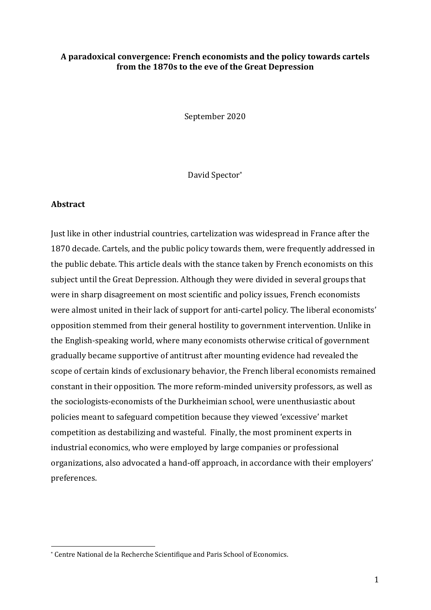### A paradoxical convergence: French economists and the policy towards cartels from the 1870s to the eve of the Great Depression

September 2020

David Spector\*

#### **Abstract**

Just like in other industrial countries, cartelization was widespread in France after the 1870 decade. Cartels, and the public policy towards them, were frequently addressed in the public debate. This article deals with the stance taken by French economists on this subject until the Great Depression. Although they were divided in several groups that were in sharp disagreement on most scientific and policy issues, French economists were almost united in their lack of support for anti-cartel policy. The liberal economists' opposition stemmed from their general hostility to government intervention. Unlike in the English-speaking world, where many economists otherwise critical of government gradually became supportive of antitrust after mounting evidence had revealed the scope of certain kinds of exclusionary behavior, the French liberal economists remained constant in their opposition. The more reform-minded university professors, as well as the sociologists-economists of the Durkheimian school, were unenthusiastic about policies meant to safeguard competition because they viewed 'excessive' market competition as destabilizing and wasteful. Finally, the most prominent experts in industrial economics, who were employed by large companies or professional organizations, also advocated a hand-off approach, in accordance with their employers' preferences.

<sup>\*</sup> Centre National de la Recherche Scientifique and Paris School of Economics.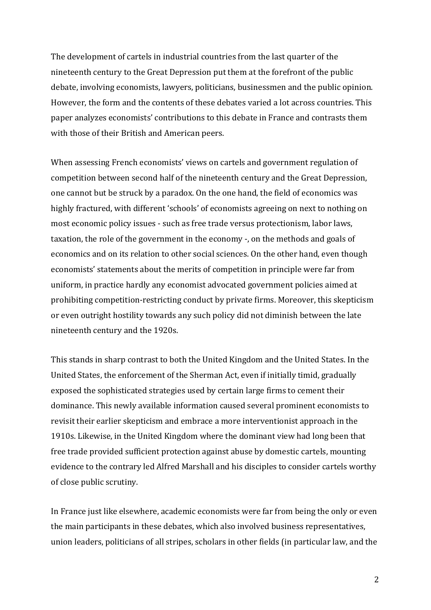The development of cartels in industrial countries from the last quarter of the nineteenth century to the Great Depression put them at the forefront of the public debate, involving economists, lawyers, politicians, businessmen and the public opinion. However, the form and the contents of these debates varied a lot across countries. This paper analyzes economists' contributions to this debate in France and contrasts them with those of their British and American peers.

When assessing French economists' views on cartels and government regulation of competition between second half of the nineteenth century and the Great Depression, one cannot but be struck by a paradox. On the one hand, the field of economics was highly fractured, with different 'schools' of economists agreeing on next to nothing on most economic policy issues - such as free trade versus protectionism, labor laws, taxation, the role of the government in the economy -, on the methods and goals of economics and on its relation to other social sciences. On the other hand, even though economists' statements about the merits of competition in principle were far from uniform, in practice hardly any economist advocated government policies aimed at prohibiting competition-restricting conduct by private firms. Moreover, this skepticism or even outright hostility towards any such policy did not diminish between the late nineteenth century and the 1920s.

This stands in sharp contrast to both the United Kingdom and the United States. In the United States, the enforcement of the Sherman Act, even if initially timid, gradually exposed the sophisticated strategies used by certain large firms to cement their dominance. This newly available information caused several prominent economists to revisit their earlier skepticism and embrace a more interventionist approach in the 1910s. Likewise, in the United Kingdom where the dominant view had long been that free trade provided sufficient protection against abuse by domestic cartels, mounting evidence to the contrary led Alfred Marshall and his disciples to consider cartels worthy of close public scrutiny.

In France just like elsewhere, academic economists were far from being the only or even the main participants in these debates, which also involved business representatives, union leaders, politicians of all stripes, scholars in other fields (in particular law, and the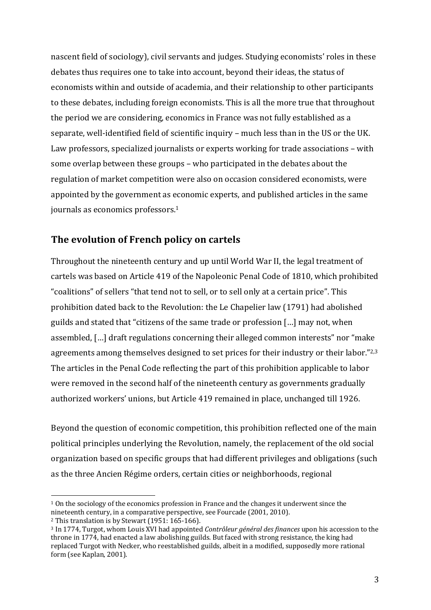nascent field of sociology), civil servants and judges. Studying economists' roles in these debates thus requires one to take into account, beyond their ideas, the status of economists within and outside of academia, and their relationship to other participants to these debates, including foreign economists. This is all the more true that throughout the period we are considering, economics in France was not fully established as a separate, well-identified field of scientific inquiry – much less than in the US or the UK. Law professors, specialized journalists or experts working for trade associations – with some overlap between these groups – who participated in the debates about the regulation of market competition were also on occasion considered economists, were appointed by the government as economic experts, and published articles in the same journals as economics professors.<sup>1</sup>

# The evolution of French policy on cartels

Throughout the nineteenth century and up until World War II, the legal treatment of cartels was based on Article 419 of the Napoleonic Penal Code of 1810, which prohibited "coalitions" of sellers "that tend not to sell, or to sell only at a certain price". This prohibition dated back to the Revolution: the Le Chapelier law (1791) had abolished guilds and stated that "citizens of the same trade or profession [...] may not, when assembled, [...] draft regulations concerning their alleged common interests" nor "make agreements among themselves designed to set prices for their industry or their labor."<sup>2,3</sup> The articles in the Penal Code reflecting the part of this prohibition applicable to labor were removed in the second half of the nineteenth century as governments gradually authorized workers' unions, but Article 419 remained in place, unchanged till 1926.

Beyond the question of economic competition, this prohibition reflected one of the main political principles underlying the Revolution, namely, the replacement of the old social organization based on specific groups that had different privileges and obligations (such as the three Ancien Régime orders, certain cities or neighborhoods, regional

 $1$  On the sociology of the economics profession in France and the changes it underwent since the nineteenth century, in a comparative perspective, see Fourcade (2001, 2010).

 $2$  This translation is by Stewart (1951: 165-166).

<sup>&</sup>lt;sup>3</sup> In 1774, Turgot, whom Louis XVI had appointed *Contrôleur général des finances* upon his accession to the throne in 1774, had enacted a law abolishing guilds. But faced with strong resistance, the king had replaced Turgot with Necker, who reestablished guilds, albeit in a modified, supposedly more rational form (see Kaplan, 2001).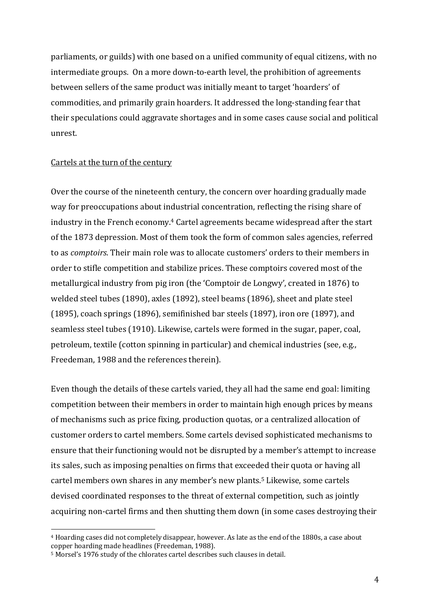parliaments, or guilds) with one based on a unified community of equal citizens, with no intermediate groups. On a more down-to-earth level, the prohibition of agreements between sellers of the same product was initially meant to target 'hoarders' of commodities, and primarily grain hoarders. It addressed the long-standing fear that their speculations could aggravate shortages and in some cases cause social and political unrest.

#### Cartels at the turn of the century

Over the course of the nineteenth century, the concern over hoarding gradually made way for preoccupations about industrial concentration, reflecting the rising share of industry in the French economy.<sup>4</sup> Cartel agreements became widespread after the start of the 1873 depression. Most of them took the form of common sales agencies, referred to as *comptoirs*. Their main role was to allocate customers' orders to their members in order to stifle competition and stabilize prices. These comptoirs covered most of the metallurgical industry from pig iron (the 'Comptoir de Longwy', created in 1876) to welded steel tubes (1890), axles (1892), steel beams (1896), sheet and plate steel (1895), coach springs (1896), semifinished bar steels (1897), iron ore (1897), and seamless steel tubes (1910). Likewise, cartels were formed in the sugar, paper, coal, petroleum, textile (cotton spinning in particular) and chemical industries (see, e.g., Freedeman, 1988 and the references therein).

Even though the details of these cartels varied, they all had the same end goal: limiting competition between their members in order to maintain high enough prices by means of mechanisms such as price fixing, production quotas, or a centralized allocation of customer orders to cartel members. Some cartels devised sophisticated mechanisms to ensure that their functioning would not be disrupted by a member's attempt to increase its sales, such as imposing penalties on firms that exceeded their quota or having all cartel members own shares in any member's new plants.<sup>5</sup> Likewise, some cartels devised coordinated responses to the threat of external competition, such as jointly acquiring non-cartel firms and then shutting them down (in some cases destroying their

<sup>&</sup>lt;sup>4</sup> Hoarding cases did not completely disappear, however. As late as the end of the 1880s, a case about copper hoarding made headlines (Freedeman, 1988).

<sup>&</sup>lt;sup>5</sup> Morsel's 1976 study of the chlorates cartel describes such clauses in detail.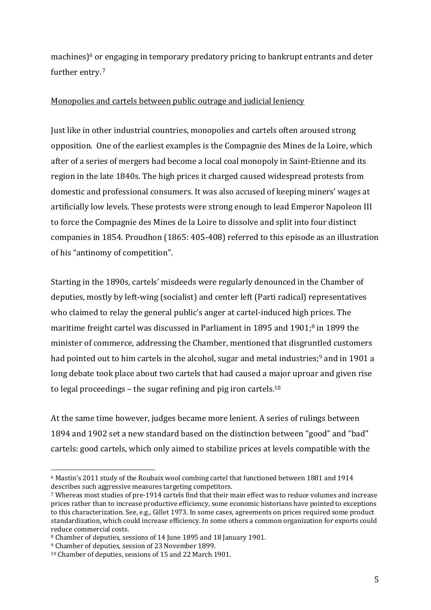machines) $6$  or engaging in temporary predatory pricing to bankrupt entrants and deter further entry.<sup>7</sup>

## Monopolies and cartels between public outrage and judicial leniency

Just like in other industrial countries, monopolies and cartels often aroused strong opposition. One of the earliest examples is the Compagnie des Mines de la Loire, which after of a series of mergers had become a local coal monopoly in Saint-Etienne and its region in the late 1840s. The high prices it charged caused widespread protests from domestic and professional consumers. It was also accused of keeping miners' wages at artificially low levels. These protests were strong enough to lead Emperor Napoleon III to force the Compagnie des Mines de la Loire to dissolve and split into four distinct companies in 1854. Proudhon (1865: 405-408) referred to this episode as an illustration of his "antinomy of competition".

Starting in the 1890s, cartels' misdeeds were regularly denounced in the Chamber of deputies, mostly by left-wing (socialist) and center left (Parti radical) representatives who claimed to relay the general public's anger at cartel-induced high prices. The maritime freight cartel was discussed in Parliament in 1895 and 1901;<sup>8</sup> in 1899 the minister of commerce, addressing the Chamber, mentioned that disgruntled customers had pointed out to him cartels in the alcohol, sugar and metal industries;<sup>9</sup> and in 1901 a long debate took place about two cartels that had caused a major uproar and given rise to legal proceedings – the sugar refining and pig iron cartels.<sup>10</sup>

At the same time however, judges became more lenient. A series of rulings between 1894 and 1902 set a new standard based on the distinction between "good" and "bad" cartels: good cartels, which only aimed to stabilize prices at levels compatible with the

 $6$  Mastin's 2011 study of the Roubaix wool combing cartel that functioned between 1881 and 1914 describes such aggressive measures targeting competitors.

<sup>&</sup>lt;sup>7</sup> Whereas most studies of pre-1914 cartels find that their main effect was to reduce volumes and increase prices rather than to increase productive efficiency, some economic historians have pointed to exceptions to this characterization. See, e.g., Gillet 1973. In some cases, agreements on prices required some product standardization, which could increase efficiency. In some others a common organization for exports could reduce commercial costs.

<sup>&</sup>lt;sup>8</sup> Chamber of deputies, sessions of 14 June 1895 and 18 January 1901.

<sup>&</sup>lt;sup>9</sup> Chamber of deputies, session of 23 November 1899.

<sup>&</sup>lt;sup>10</sup> Chamber of deputies, sessions of 15 and 22 March 1901.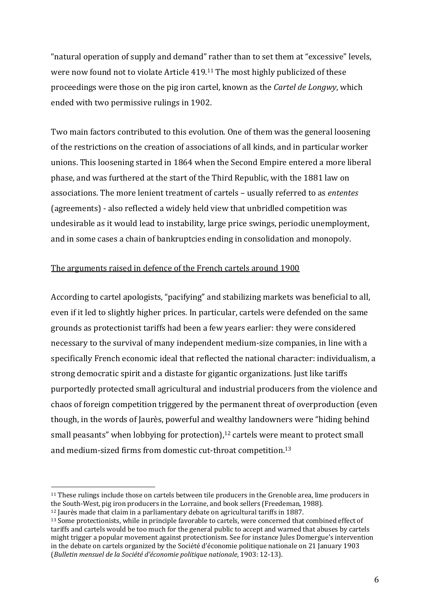"natural operation of supply and demand" rather than to set them at "excessive" levels, were now found not to violate Article  $419$ .<sup>11</sup> The most highly publicized of these proceedings were those on the pig iron cartel, known as the *Cartel de Longwy*, which ended with two permissive rulings in 1902.

Two main factors contributed to this evolution. One of them was the general loosening of the restrictions on the creation of associations of all kinds, and in particular worker unions. This loosening started in 1864 when the Second Empire entered a more liberal phase, and was furthered at the start of the Third Republic, with the 1881 law on associations. The more lenient treatment of cartels – usually referred to as *ententes* (agreements) - also reflected a widely held view that unbridled competition was undesirable as it would lead to instability, large price swings, periodic unemployment, and in some cases a chain of bankruptcies ending in consolidation and monopoly.

## The arguments raised in defence of the French cartels around 1900

According to cartel apologists, "pacifying" and stabilizing markets was beneficial to all, even if it led to slightly higher prices. In particular, cartels were defended on the same grounds as protectionist tariffs had been a few years earlier: they were considered necessary to the survival of many independent medium-size companies, in line with a specifically French economic ideal that reflected the national character: individualism, a strong democratic spirit and a distaste for gigantic organizations. Just like tariffs purportedly protected small agricultural and industrial producers from the violence and chaos of foreign competition triggered by the permanent threat of overproduction (even though, in the words of Jaurès, powerful and wealthy landowners were "hiding behind small peasants" when lobbying for protection), $12$  cartels were meant to protect small and medium-sized firms from domestic cut-throat competition.<sup>13</sup>

<sup>&</sup>lt;sup>11</sup> These rulings include those on cartels between tile producers in the Grenoble area, lime producers in the South-West, pig iron producers in the Lorraine, and book sellers (Freedeman, 1988).

 $12$  Jaurès made that claim in a parliamentary debate on agricultural tariffs in 1887.

<sup>&</sup>lt;sup>13</sup> Some protectionists, while in principle favorable to cartels, were concerned that combined effect of tariffs and cartels would be too much for the general public to accept and warned that abuses by cartels might trigger a popular movement against protectionism. See for instance Jules Domergue's intervention in the debate on cartels organized by the Société d'économie politique nationale on 21 January 1903 (Bulletin mensuel de la Société d'économie politique nationale, 1903: 12-13).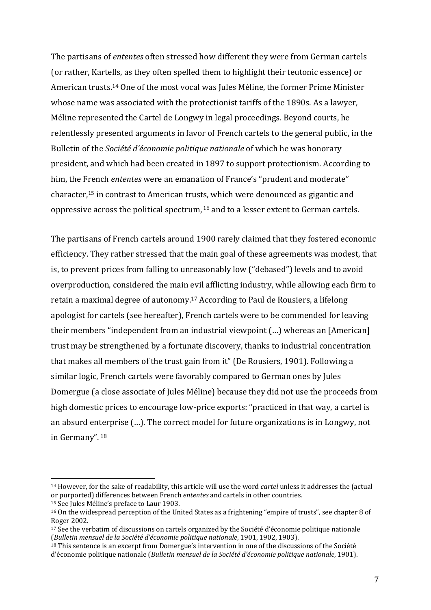The partisans of *ententes* often stressed how different they were from German cartels (or rather, Kartells, as they often spelled them to highlight their teutonic essence) or American trusts.<sup>14</sup> One of the most vocal was Jules Méline, the former Prime Minister whose name was associated with the protectionist tariffs of the 1890s. As a lawyer, Méline represented the Cartel de Longwy in legal proceedings. Beyond courts, he relentlessly presented arguments in favor of French cartels to the general public, in the Bulletin of the *Société d'économie politique nationale* of which he was honorary president, and which had been created in 1897 to support protectionism. According to him, the French *ententes* were an emanation of France's "prudent and moderate" character,<sup>15</sup> in contrast to American trusts, which were denounced as gigantic and oppressive across the political spectrum,  $16$  and to a lesser extent to German cartels.

The partisans of French cartels around 1900 rarely claimed that they fostered economic efficiency. They rather stressed that the main goal of these agreements was modest, that is, to prevent prices from falling to unreasonably low ("debased") levels and to avoid overproduction, considered the main evil afflicting industry, while allowing each firm to retain a maximal degree of autonomy.<sup>17</sup> According to Paul de Rousiers, a lifelong apologist for cartels (see hereafter), French cartels were to be commended for leaving their members "independent from an industrial viewpoint  $(...)$  whereas an [American] trust may be strengthened by a fortunate discovery, thanks to industrial concentration that makes all members of the trust gain from it" (De Rousiers, 1901). Following a similar logic, French cartels were favorably compared to German ones by Jules Domergue (a close associate of Jules Méline) because they did not use the proceeds from high domestic prices to encourage low-price exports: "practiced in that way, a cartel is an absurd enterprise  $(...)$ . The correct model for future organizations is in Longwy, not in Germany". 18

<sup>&</sup>lt;sup>14</sup> However, for the sake of readability, this article will use the word *cartel* unless it addresses the (actual or purported) differences between French *ententes* and cartels in other countries.

<sup>&</sup>lt;sup>15</sup> See Jules Méline's preface to Laur 1903.

 $16$  On the widespread perception of the United States as a frightening "empire of trusts", see chapter 8 of Roger 2002.

 $17$  See the verbatim of discussions on cartels organized by the Société d'économie politique nationale (*Bulletin mensuel de la Société d'économie politique nationale*, 1901, 1902, 1903).

 $18$  This sentence is an excerpt from Domergue's intervention in one of the discussions of the Société d'économie politique nationale (*Bulletin mensuel de la Société d'économie politique nationale*, 1901).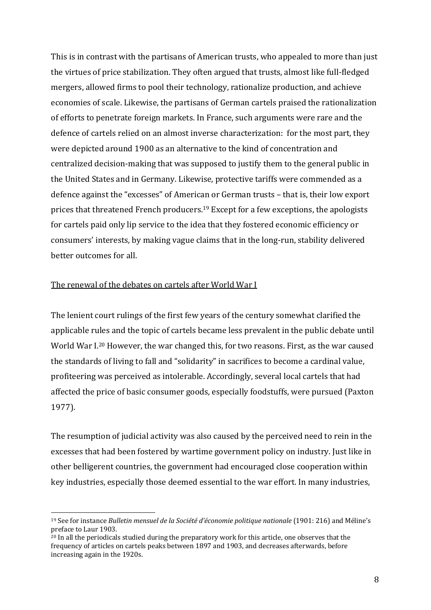This is in contrast with the partisans of American trusts, who appealed to more than just the virtues of price stabilization. They often argued that trusts, almost like full-fledged mergers, allowed firms to pool their technology, rationalize production, and achieve economies of scale. Likewise, the partisans of German cartels praised the rationalization of efforts to penetrate foreign markets. In France, such arguments were rare and the defence of cartels relied on an almost inverse characterization: for the most part, they were depicted around 1900 as an alternative to the kind of concentration and centralized decision-making that was supposed to justify them to the general public in the United States and in Germany. Likewise, protective tariffs were commended as a defence against the "excesses" of American or German trusts – that is, their low export prices that threatened French producers.<sup>19</sup> Except for a few exceptions, the apologists for cartels paid only lip service to the idea that they fostered economic efficiency or consumers' interests, by making vague claims that in the long-run, stability delivered better outcomes for all.

### The renewal of the debates on cartels after World War I

The lenient court rulings of the first few years of the century somewhat clarified the applicable rules and the topic of cartels became less prevalent in the public debate until World War I.<sup>20</sup> However, the war changed this, for two reasons. First, as the war caused the standards of living to fall and "solidarity" in sacrifices to become a cardinal value, profiteering was perceived as intolerable. Accordingly, several local cartels that had affected the price of basic consumer goods, especially foodstuffs, were pursued (Paxton 1977).

The resumption of judicial activity was also caused by the perceived need to rein in the excesses that had been fostered by wartime government policy on industry. Just like in other belligerent countries, the government had encouraged close cooperation within key industries, especially those deemed essential to the war effort. In many industries,

<sup>&</sup>lt;sup>19</sup> See for instance *Bulletin mensuel de la Société d'économie politique nationale* (1901: 216) and Méline's preface to Laur 1903.

 $20$  In all the periodicals studied during the preparatory work for this article, one observes that the frequency of articles on cartels peaks between 1897 and 1903, and decreases afterwards, before increasing again in the 1920s.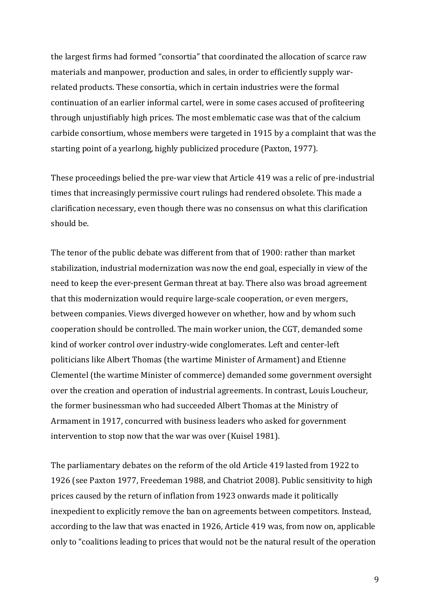the largest firms had formed "consortia" that coordinated the allocation of scarce raw materials and manpower, production and sales, in order to efficiently supply warrelated products. These consortia, which in certain industries were the formal continuation of an earlier informal cartel, were in some cases accused of profiteering through unjustifiably high prices. The most emblematic case was that of the calcium carbide consortium, whose members were targeted in 1915 by a complaint that was the starting point of a yearlong, highly publicized procedure (Paxton, 1977).

These proceedings belied the pre-war view that Article 419 was a relic of pre-industrial times that increasingly permissive court rulings had rendered obsolete. This made a clarification necessary, even though there was no consensus on what this clarification should be.

The tenor of the public debate was different from that of 1900: rather than market stabilization, industrial modernization was now the end goal, especially in view of the need to keep the ever-present German threat at bay. There also was broad agreement that this modernization would require large-scale cooperation, or even mergers, between companies. Views diverged however on whether, how and by whom such cooperation should be controlled. The main worker union, the CGT, demanded some kind of worker control over industry-wide conglomerates. Left and center-left politicians like Albert Thomas (the wartime Minister of Armament) and Etienne Clementel (the wartime Minister of commerce) demanded some government oversight over the creation and operation of industrial agreements. In contrast, Louis Loucheur, the former businessman who had succeeded Albert Thomas at the Ministry of Armament in 1917, concurred with business leaders who asked for government intervention to stop now that the war was over (Kuisel 1981).

The parliamentary debates on the reform of the old Article 419 lasted from 1922 to 1926 (see Paxton 1977, Freedeman 1988, and Chatriot 2008). Public sensitivity to high prices caused by the return of inflation from 1923 onwards made it politically inexpedient to explicitly remove the ban on agreements between competitors. Instead, according to the law that was enacted in 1926, Article 419 was, from now on, applicable only to "coalitions leading to prices that would not be the natural result of the operation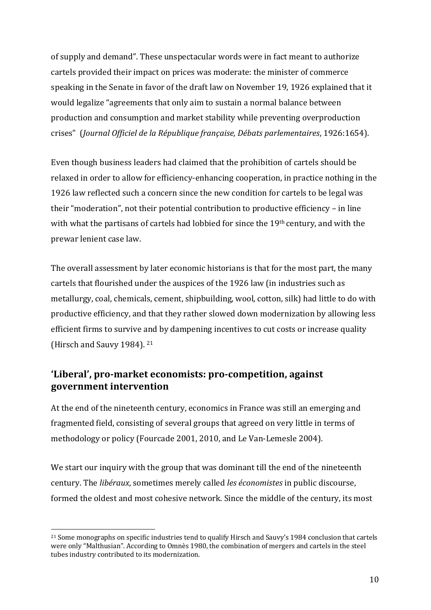of supply and demand". These unspectacular words were in fact meant to authorize cartels provided their impact on prices was moderate: the minister of commerce speaking in the Senate in favor of the draft law on November 19, 1926 explained that it would legalize "agreements that only aim to sustain a normal balance between production and consumption and market stability while preventing overproduction crises" (*Journal Officiel de la République française, Débats parlementaires*, 1926:1654).

Even though business leaders had claimed that the prohibition of cartels should be relaxed in order to allow for efficiency-enhancing cooperation, in practice nothing in the 1926 law reflected such a concern since the new condition for cartels to be legal was their "moderation", not their potential contribution to productive efficiency – in line with what the partisans of cartels had lobbied for since the  $19<sup>th</sup>$  century, and with the prewar lenient case law.

The overall assessment by later economic historians is that for the most part, the many cartels that flourished under the auspices of the 1926 law (in industries such as metallurgy, coal, chemicals, cement, shipbuilding, wool, cotton, silk) had little to do with productive efficiency, and that they rather slowed down modernization by allowing less efficient firms to survive and by dampening incentives to cut costs or increase quality (Hirsch and Sauvy 1984).  $21$ 

# 'Liberal', pro-market economists: pro-competition, against **government intervention**

At the end of the nineteenth century, economics in France was still an emerging and fragmented field, consisting of several groups that agreed on very little in terms of methodology or policy (Fourcade 2001, 2010, and Le Van-Lemesle 2004).

We start our inquiry with the group that was dominant till the end of the nineteenth century. The *libéraux*, sometimes merely called *les économistes* in public discourse, formed the oldest and most cohesive network. Since the middle of the century, its most

<sup>&</sup>lt;sup>21</sup> Some monographs on specific industries tend to qualify Hirsch and Sauvy's 1984 conclusion that cartels were only "Malthusian". According to Omnès 1980, the combination of mergers and cartels in the steel tubes industry contributed to its modernization.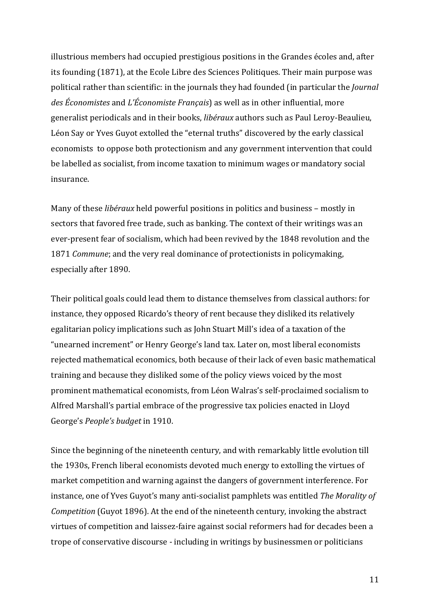illustrious members had occupied prestigious positions in the Grandes écoles and, after its founding (1871), at the Ecole Libre des Sciences Politiques. Their main purpose was political rather than scientific: in the journals they had founded (in particular the *Journal* des Économistes and *L'Économiste Français*) as well as in other influential, more generalist periodicals and in their books, *libéraux* authors such as Paul Leroy-Beaulieu, Léon Say or Yves Guyot extolled the "eternal truths" discovered by the early classical economists to oppose both protectionism and any government intervention that could be labelled as socialist, from income taxation to minimum wages or mandatory social insurance. 

Many of these *libéraux* held powerful positions in politics and business – mostly in sectors that favored free trade, such as banking. The context of their writings was an ever-present fear of socialism, which had been revived by the 1848 revolution and the 1871 *Commune*; and the very real dominance of protectionists in policymaking, especially after 1890.

Their political goals could lead them to distance themselves from classical authors: for instance, they opposed Ricardo's theory of rent because they disliked its relatively egalitarian policy implications such as John Stuart Mill's idea of a taxation of the "unearned increment" or Henry George's land tax. Later on, most liberal economists rejected mathematical economics, both because of their lack of even basic mathematical training and because they disliked some of the policy views voiced by the most prominent mathematical economists, from Léon Walras's self-proclaimed socialism to Alfred Marshall's partial embrace of the progressive tax policies enacted in Lloyd George's *People's* budget in 1910.

Since the beginning of the nineteenth century, and with remarkably little evolution till the 1930s, French liberal economists devoted much energy to extolling the virtues of market competition and warning against the dangers of government interference. For instance, one of Yves Guyot's many anti-socialist pamphlets was entitled *The Morality of Competition* (Guyot 1896). At the end of the nineteenth century, invoking the abstract virtues of competition and laissez-faire against social reformers had for decades been a trope of conservative discourse - including in writings by businessmen or politicians

11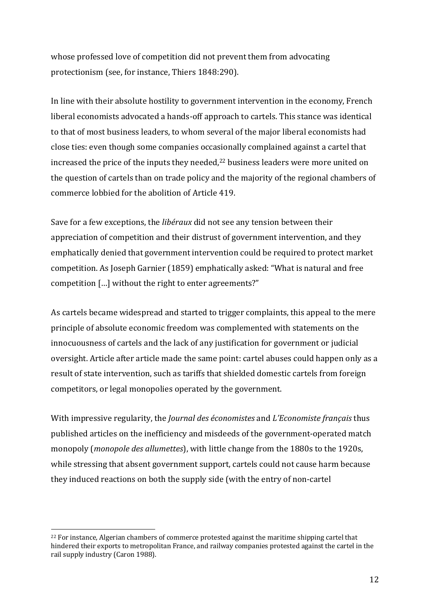whose professed love of competition did not prevent them from advocating protectionism (see, for instance, Thiers 1848:290).

In line with their absolute hostility to government intervention in the economy, French liberal economists advocated a hands-off approach to cartels. This stance was identical to that of most business leaders, to whom several of the major liberal economists had close ties: even though some companies occasionally complained against a cartel that increased the price of the inputs they needed, $22$  business leaders were more united on the question of cartels than on trade policy and the majority of the regional chambers of commerce lobbied for the abolition of Article 419.

Save for a few exceptions, the *libéraux* did not see any tension between their appreciation of competition and their distrust of government intervention, and they emphatically denied that government intervention could be required to protect market competition. As Joseph Garnier (1859) emphatically asked: "What is natural and free competition [...] without the right to enter agreements?"

As cartels became widespread and started to trigger complaints, this appeal to the mere principle of absolute economic freedom was complemented with statements on the innocuousness of cartels and the lack of any justification for government or judicial oversight. Article after article made the same point: cartel abuses could happen only as a result of state intervention, such as tariffs that shielded domestic cartels from foreign competitors, or legal monopolies operated by the government.

With impressive regularity, the *Journal des économistes* and *L'Economiste français* thus published articles on the inefficiency and misdeeds of the government-operated match monopoly (*monopole des allumettes*), with little change from the 1880s to the 1920s, while stressing that absent government support, cartels could not cause harm because they induced reactions on both the supply side (with the entry of non-cartel

<sup>&</sup>lt;sup>22</sup> For instance, Algerian chambers of commerce protested against the maritime shipping cartel that hindered their exports to metropolitan France, and railway companies protested against the cartel in the rail supply industry (Caron 1988).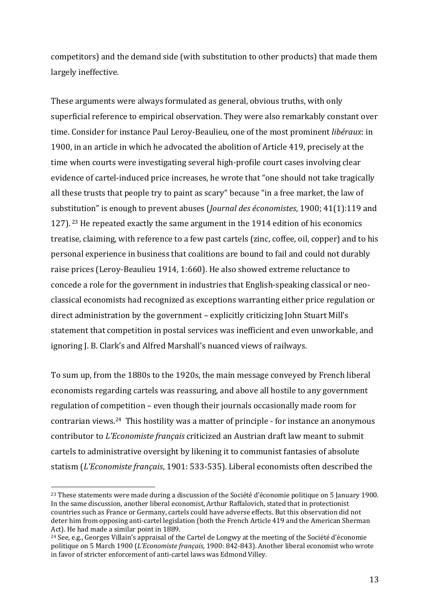competitors) and the demand side (with substitution to other products) that made them largely ineffective.

These arguments were always formulated as general, obvious truths, with only superficial reference to empirical observation. They were also remarkably constant over time. Consider for instance Paul Leroy-Beaulieu, one of the most prominent *libéraux*: in 1900, in an article in which he advocated the abolition of Article 419, precisely at the time when courts were investigating several high-profile court cases involving clear evidence of cartel-induced price increases, he wrote that "one should not take tragically all these trusts that people try to paint as scary" because "in a free market, the law of substitution" is enough to prevent abuses (*Journal des économistes*, 1900; 41(1):119 and 127).  $23$  He repeated exactly the same argument in the 1914 edition of his economics treatise, claiming, with reference to a few past cartels (zinc, coffee, oil, copper) and to his personal experience in business that coalitions are bound to fail and could not durably raise prices (Leroy-Beaulieu 1914, 1:660). He also showed extreme reluctance to concede a role for the government in industries that English-speaking classical or neoclassical economists had recognized as exceptions warranting either price regulation or direct administration by the government – explicitly criticizing John Stuart Mill's statement that competition in postal services was inefficient and even unworkable, and ignoring J. B. Clark's and Alfred Marshall's nuanced views of railways.

To sum up, from the 1880s to the 1920s, the main message conveyed by French liberal economists regarding cartels was reassuring, and above all hostile to any government regulation of competition  $-$  even though their journals occasionally made room for contrarian views.<sup>24</sup> This hostility was a matter of principle  $\overline{\phantom{a}}$  for instance an anonymous contributor to *L'Economiste français* criticized an Austrian draft law meant to submit cartels to administrative oversight by likening it to communist fantasies of absolute statism (L'Economiste français, 1901: 533-535). Liberal economists often described the

<sup>&</sup>lt;sup>23</sup> These statements were made during a discussion of the Société d'économie politique on 5 January 1900. In the same discussion, another liberal economist, Arthur Raffalovich, stated that in protectionist countries such as France or Germany, cartels could have adverse effects. But this observation did not deter him from opposing anti-cartel legislation (both the French Article 419 and the American Sherman Act). He had made a similar point in 1889.

<sup>&</sup>lt;sup>24</sup> See, e.g., Georges Villain's appraisal of the Cartel de Longwy at the meeting of the Société d'économie politique on 5 March 1900 (*L'Economiste français*, 1900: 842-843). Another liberal economist who wrote in favor of stricter enforcement of anti-cartel laws was Edmond Villey.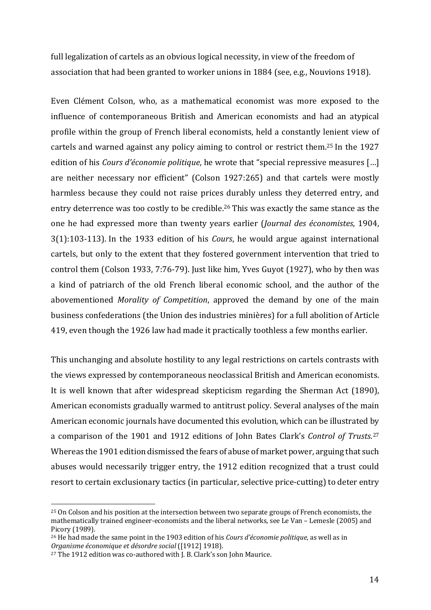full legalization of cartels as an obvious logical necessity, in view of the freedom of association that had been granted to worker unions in 1884 (see, e.g., Nouvions 1918).

Even Clément Colson, who, as a mathematical economist was more exposed to the influence of contemporaneous British and American economists and had an atypical profile within the group of French liberal economists, held a constantly lenient view of cartels and warned against any policy aiming to control or restrict them.<sup>25</sup> In the 1927 edition of his *Cours d'économie politique*, he wrote that "special repressive measures [...] are neither necessary nor efficient" (Colson 1927:265) and that cartels were mostly harmless because they could not raise prices durably unless they deterred entry, and entry deterrence was too costly to be credible.<sup>26</sup> This was exactly the same stance as the one he had expressed more than twenty years earlier (*Journal des économistes*, 1904, 3(1):103-113). In the 1933 edition of his *Cours*, he would argue against international cartels, but only to the extent that they fostered government intervention that tried to control them (Colson 1933, 7:76-79). Just like him, Yves Guyot (1927), who by then was a kind of patriarch of the old French liberal economic school, and the author of the abovementioned *Morality of Competition*, approved the demand by one of the main business confederations (the Union des industries minières) for a full abolition of Article 419, even though the 1926 law had made it practically toothless a few months earlier.

This unchanging and absolute hostility to any legal restrictions on cartels contrasts with the views expressed by contemporaneous neoclassical British and American economists. It is well known that after widespread skepticism regarding the Sherman Act (1890), American economists gradually warmed to antitrust policy. Several analyses of the main American economic journals have documented this evolution, which can be illustrated by a comparison of the 1901 and 1912 editions of John Bates Clark's *Control of Trusts*.<sup>27</sup> Whereas the 1901 edition dismissed the fears of abuse of market power, arguing that such abuses would necessarily trigger entry, the 1912 edition recognized that a trust could resort to certain exclusionary tactics (in particular, selective price-cutting) to deter entry

<sup>&</sup>lt;sup>25</sup> On Colson and his position at the intersection between two separate groups of French economists, the mathematically trained engineer-economists and the liberal networks, see Le Van – Lemesle (2005) and Picory (1989).

<sup>&</sup>lt;sup>26</sup> He had made the same point in the 1903 edition of his *Cours d'économie politique*, as well as in *Organisme économique et désordre social* ([1912] 1918).

 $27$  The 1912 edition was co-authored with J. B. Clark's son John Maurice.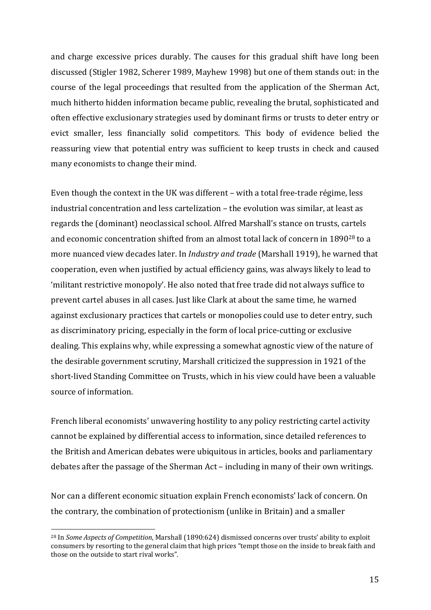and charge excessive prices durably. The causes for this gradual shift have long been discussed (Stigler 1982, Scherer 1989, Mayhew 1998) but one of them stands out: in the course of the legal proceedings that resulted from the application of the Sherman Act, much hitherto hidden information became public, revealing the brutal, sophisticated and often effective exclusionary strategies used by dominant firms or trusts to deter entry or evict smaller, less financially solid competitors. This body of evidence belied the reassuring view that potential entry was sufficient to keep trusts in check and caused many economists to change their mind.

Even though the context in the UK was different - with a total free-trade régime, less industrial concentration and less cartelization - the evolution was similar, at least as regards the (dominant) neoclassical school. Alfred Marshall's stance on trusts, cartels and economic concentration shifted from an almost total lack of concern in 1890<sup>28</sup> to a more nuanced view decades later. In *Industry and trade* (Marshall 1919), he warned that cooperation, even when justified by actual efficiency gains, was always likely to lead to 'militant restrictive monopoly'. He also noted that free trade did not always suffice to prevent cartel abuses in all cases. Just like Clark at about the same time, he warned against exclusionary practices that cartels or monopolies could use to deter entry, such as discriminatory pricing, especially in the form of local price-cutting or exclusive dealing. This explains why, while expressing a somewhat agnostic view of the nature of the desirable government scrutiny, Marshall criticized the suppression in 1921 of the short-lived Standing Committee on Trusts, which in his view could have been a valuable source of information.

French liberal economists' unwavering hostility to any policy restricting cartel activity cannot be explained by differential access to information, since detailed references to the British and American debates were ubiquitous in articles, books and parliamentary debates after the passage of the Sherman Act – including in many of their own writings.

Nor can a different economic situation explain French economists' lack of concern. On the contrary, the combination of protectionism (unlike in Britain) and a smaller

<sup>&</sup>lt;sup>28</sup> In *Some Aspects of Competition*, Marshall (1890:624) dismissed concerns over trusts' ability to exploit consumers by resorting to the general claim that high prices "tempt those on the inside to break faith and those on the outside to start rival works".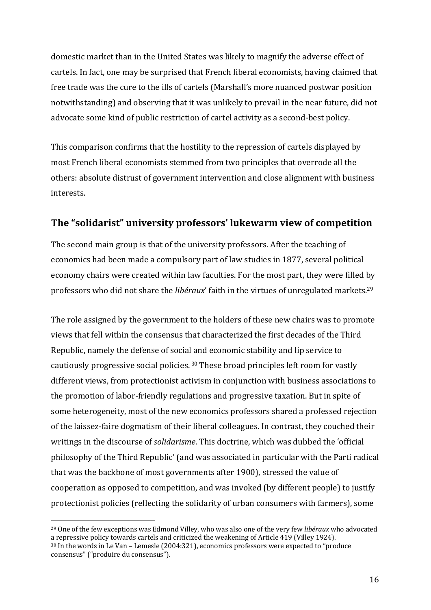domestic market than in the United States was likely to magnify the adverse effect of cartels. In fact, one may be surprised that French liberal economists, having claimed that free trade was the cure to the ills of cartels (Marshall's more nuanced postwar position notwithstanding) and observing that it was unlikely to prevail in the near future, did not advocate some kind of public restriction of cartel activity as a second-best policy.

This comparison confirms that the hostility to the repression of cartels displayed by most French liberal economists stemmed from two principles that overrode all the others: absolute distrust of government intervention and close alignment with business interests.

# **The "solidarist" university professors' lukewarm view of competition**

The second main group is that of the university professors. After the teaching of economics had been made a compulsory part of law studies in 1877, several political economy chairs were created within law faculties. For the most part, they were filled by professors who did not share the *libéraux*' faith in the virtues of unregulated markets.<sup>29</sup>

The role assigned by the government to the holders of these new chairs was to promote views that fell within the consensus that characterized the first decades of the Third Republic, namely the defense of social and economic stability and lip service to cautiously progressive social policies.  $30$  These broad principles left room for vastly different views, from protectionist activism in conjunction with business associations to the promotion of labor-friendly regulations and progressive taxation. But in spite of some heterogeneity, most of the new economics professors shared a professed rejection of the laissez-faire dogmatism of their liberal colleagues. In contrast, they couched their writings in the discourse of *solidarisme*. This doctrine, which was dubbed the 'official philosophy of the Third Republic' (and was associated in particular with the Parti radical that was the backbone of most governments after 1900), stressed the value of cooperation as opposed to competition, and was invoked (by different people) to justify protectionist policies (reflecting the solidarity of urban consumers with farmers), some

<sup>&</sup>lt;sup>29</sup> One of the few exceptions was Edmond Villey, who was also one of the very few *libéraux* who advocated a repressive policy towards cartels and criticized the weakening of Article  $419$  (Villey 1924).  $30$  In the words in Le Van – Lemesle (2004:321), economics professors were expected to "produce

consensus" ("produire du consensus").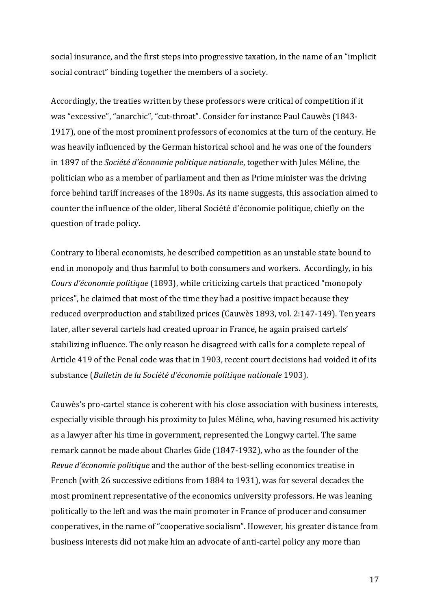social insurance, and the first steps into progressive taxation, in the name of an "implicit social contract" binding together the members of a society.

Accordingly, the treaties written by these professors were critical of competition if it was "excessive", "anarchic", "cut-throat". Consider for instance Paul Cauwès (1843-1917), one of the most prominent professors of economics at the turn of the century. He was heavily influenced by the German historical school and he was one of the founders in 1897 of the *Société d'économie politique nationale*, together with Jules Méline, the politician who as a member of parliament and then as Prime minister was the driving force behind tariff increases of the 1890s. As its name suggests, this association aimed to counter the influence of the older, liberal Société d'économie politique, chiefly on the question of trade policy.

Contrary to liberal economists, he described competition as an unstable state bound to end in monopoly and thus harmful to both consumers and workers. Accordingly, in his *Cours d'économie politique* (1893), while criticizing cartels that practiced "monopoly prices", he claimed that most of the time they had a positive impact because they reduced overproduction and stabilized prices (Cauwès 1893, vol. 2:147-149). Ten years later, after several cartels had created uproar in France, he again praised cartels' stabilizing influence. The only reason he disagreed with calls for a complete repeal of Article 419 of the Penal code was that in 1903, recent court decisions had voided it of its substance (*Bulletin de la Société d'économie politique nationale* 1903).

Cauwès's pro-cartel stance is coherent with his close association with business interests, especially visible through his proximity to Jules Méline, who, having resumed his activity as a lawyer after his time in government, represented the Longwy cartel. The same remark cannot be made about Charles Gide (1847-1932), who as the founder of the *Revue d'économie politique* and the author of the best-selling economics treatise in French (with 26 successive editions from 1884 to 1931), was for several decades the most prominent representative of the economics university professors. He was leaning politically to the left and was the main promoter in France of producer and consumer cooperatives, in the name of "cooperative socialism". However, his greater distance from business interests did not make him an advocate of anti-cartel policy any more than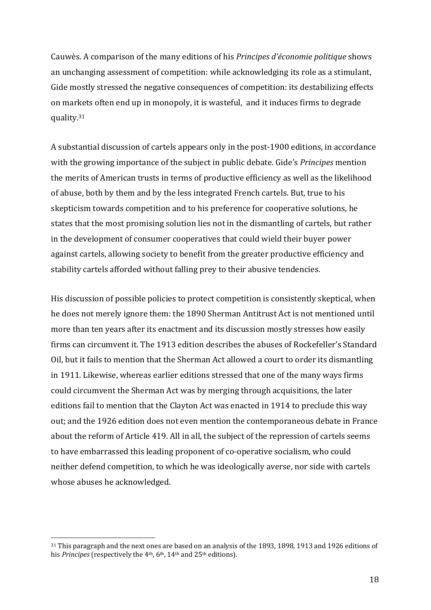Cauwès. A comparison of the many editions of his *Principes d'économie politique* shows an unchanging assessment of competition: while acknowledging its role as a stimulant, Gide mostly stressed the negative consequences of competition: its destabilizing effects on markets often end up in monopoly, it is wasteful, and it induces firms to degrade quality.31

A substantial discussion of cartels appears only in the post-1900 editions, in accordance with the growing importance of the subject in public debate. Gide's *Principes* mention the merits of American trusts in terms of productive efficiency as well as the likelihood of abuse, both by them and by the less integrated French cartels. But, true to his skepticism towards competition and to his preference for cooperative solutions, he states that the most promising solution lies not in the dismantling of cartels, but rather in the development of consumer cooperatives that could wield their buyer power against cartels, allowing society to benefit from the greater productive efficiency and stability cartels afforded without falling prey to their abusive tendencies.

His discussion of possible policies to protect competition is consistently skeptical, when he does not merely ignore them: the 1890 Sherman Antitrust Act is not mentioned until more than ten years after its enactment and its discussion mostly stresses how easily firms can circumvent it. The 1913 edition describes the abuses of Rockefeller's Standard Oil, but it fails to mention that the Sherman Act allowed a court to order its dismantling in 1911. Likewise, whereas earlier editions stressed that one of the many ways firms could circumvent the Sherman Act was by merging through acquisitions, the later editions fail to mention that the Clayton Act was enacted in 1914 to preclude this way out; and the 1926 edition does not even mention the contemporaneous debate in France about the reform of Article 419. All in all, the subject of the repression of cartels seems to have embarrassed this leading proponent of co-operative socialism, who could neither defend competition, to which he was ideologically averse, nor side with cartels whose abuses he acknowledged.

<sup>&</sup>lt;sup>31</sup> This paragraph and the next ones are based on an analysis of the 1893, 1898, 1913 and 1926 editions of his *Principes* (respectively the 4<sup>th</sup>, 6<sup>th</sup>, 14<sup>th</sup> and 25<sup>th</sup> editions).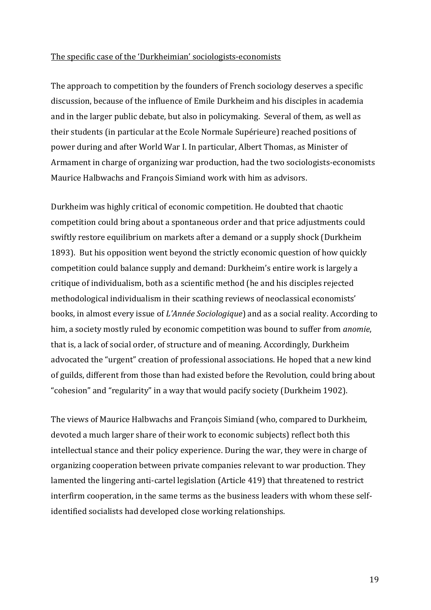#### The specific case of the 'Durkheimian' sociologists-economists

The approach to competition by the founders of French sociology deserves a specific discussion, because of the influence of Emile Durkheim and his disciples in academia and in the larger public debate, but also in policymaking. Several of them, as well as their students (in particular at the Ecole Normale Supérieure) reached positions of power during and after World War I. In particular, Albert Thomas, as Minister of Armament in charge of organizing war production, had the two sociologists-economists Maurice Halbwachs and François Simiand work with him as advisors.

Durkheim was highly critical of economic competition. He doubted that chaotic competition could bring about a spontaneous order and that price adjustments could swiftly restore equilibrium on markets after a demand or a supply shock (Durkheim 1893). But his opposition went beyond the strictly economic question of how quickly competition could balance supply and demand: Durkheim's entire work is largely a critique of individualism, both as a scientific method (he and his disciples rejected methodological individualism in their scathing reviews of neoclassical economists' books, in almost every issue of *L'Année Sociologique*) and as a social reality. According to him, a society mostly ruled by economic competition was bound to suffer from *anomie*, that is, a lack of social order, of structure and of meaning. Accordingly, Durkheim advocated the "urgent" creation of professional associations. He hoped that a new kind of guilds, different from those than had existed before the Revolution, could bring about "cohesion" and "regularity" in a way that would pacify society (Durkheim 1902).

The views of Maurice Halbwachs and François Simiand (who, compared to Durkheim, devoted a much larger share of their work to economic subjects) reflect both this intellectual stance and their policy experience. During the war, they were in charge of organizing cooperation between private companies relevant to war production. They lamented the lingering anti-cartel legislation (Article 419) that threatened to restrict interfirm cooperation, in the same terms as the business leaders with whom these selfidentified socialists had developed close working relationships.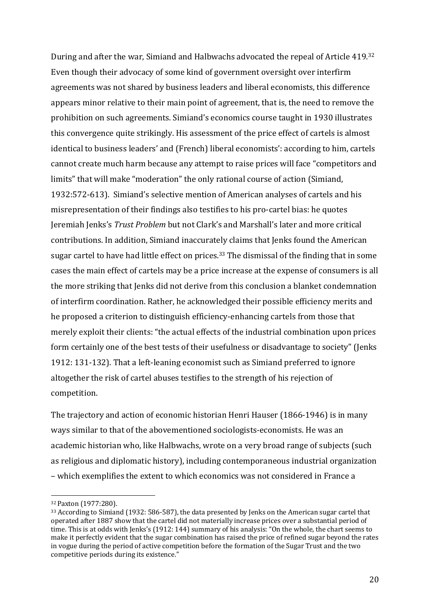During and after the war, Simiand and Halbwachs advocated the repeal of Article 419.32 Even though their advocacy of some kind of government oversight over interfirm agreements was not shared by business leaders and liberal economists, this difference appears minor relative to their main point of agreement, that is, the need to remove the prohibition on such agreements. Simiand's economics course taught in 1930 illustrates this convergence quite strikingly. His assessment of the price effect of cartels is almost identical to business leaders' and (French) liberal economists': according to him, cartels cannot create much harm because any attempt to raise prices will face "competitors and limits" that will make "moderation" the only rational course of action (Simiand, 1932:572-613). Simiand's selective mention of American analyses of cartels and his misrepresentation of their findings also testifies to his pro-cartel bias: he quotes Jeremiah Jenks's *Trust Problem* but not Clark's and Marshall's later and more critical contributions. In addition, Simiand inaccurately claims that Jenks found the American sugar cartel to have had little effect on prices.<sup>33</sup> The dismissal of the finding that in some cases the main effect of cartels may be a price increase at the expense of consumers is all the more striking that Jenks did not derive from this conclusion a blanket condemnation of interfirm coordination. Rather, he acknowledged their possible efficiency merits and he proposed a criterion to distinguish efficiency-enhancing cartels from those that merely exploit their clients: "the actual effects of the industrial combination upon prices form certainly one of the best tests of their usefulness or disadvantage to society" (Jenks 1912: 131-132). That a left-leaning economist such as Simiand preferred to ignore altogether the risk of cartel abuses testifies to the strength of his rejection of competition.

The trajectory and action of economic historian Henri Hauser (1866-1946) is in many ways similar to that of the abovementioned sociologists-economists. He was an academic historian who, like Halbwachs, wrote on a very broad range of subjects (such as religious and diplomatic history), including contemporaneous industrial organization - which exemplifies the extent to which economics was not considered in France a

<sup>32</sup> Paxton (1977:280).

 $33$  According to Simiand (1932: 586-587), the data presented by Jenks on the American sugar cartel that operated after 1887 show that the cartel did not materially increase prices over a substantial period of time. This is at odds with Jenks's (1912: 144) summary of his analysis: "On the whole, the chart seems to make it perfectly evident that the sugar combination has raised the price of refined sugar beyond the rates in vogue during the period of active competition before the formation of the Sugar Trust and the two competitive periods during its existence."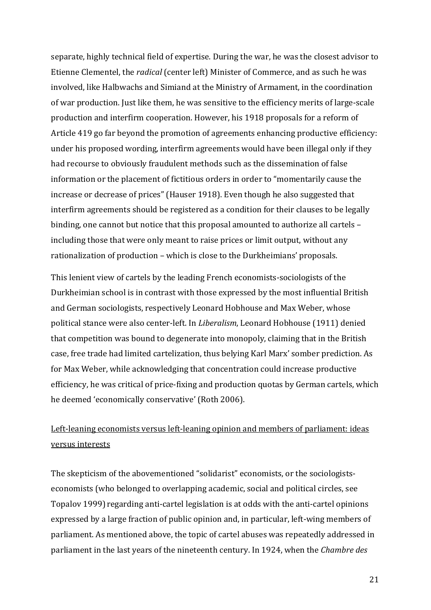separate, highly technical field of expertise. During the war, he was the closest advisor to Etienne Clementel, the *radical* (center left) Minister of Commerce, and as such he was involved, like Halbwachs and Simiand at the Ministry of Armament, in the coordination of war production. Just like them, he was sensitive to the efficiency merits of large-scale production and interfirm cooperation. However, his 1918 proposals for a reform of Article 419 go far beyond the promotion of agreements enhancing productive efficiency: under his proposed wording, interfirm agreements would have been illegal only if they had recourse to obviously fraudulent methods such as the dissemination of false information or the placement of fictitious orders in order to "momentarily cause the increase or decrease of prices" (Hauser 1918). Even though he also suggested that interfirm agreements should be registered as a condition for their clauses to be legally binding, one cannot but notice that this proposal amounted to authorize all cartels including those that were only meant to raise prices or limit output, without any rationalization of production – which is close to the Durkheimians' proposals.

This lenient view of cartels by the leading French economists-sociologists of the Durkheimian school is in contrast with those expressed by the most influential British and German sociologists, respectively Leonard Hobhouse and Max Weber, whose political stance were also center-left. In *Liberalism*, Leonard Hobhouse (1911) denied that competition was bound to degenerate into monopoly, claiming that in the British case, free trade had limited cartelization, thus belying Karl Marx' somber prediction. As for Max Weber, while acknowledging that concentration could increase productive efficiency, he was critical of price-fixing and production quotas by German cartels, which he deemed 'economically conservative' (Roth 2006).

# Left-leaning economists versus left-leaning opinion and members of parliament: ideas versus interests

The skepticism of the abovementioned "solidarist" economists, or the sociologistseconomists (who belonged to overlapping academic, social and political circles, see Topalov 1999) regarding anti-cartel legislation is at odds with the anti-cartel opinions expressed by a large fraction of public opinion and, in particular, left-wing members of parliament. As mentioned above, the topic of cartel abuses was repeatedly addressed in parliament in the last years of the nineteenth century. In 1924, when the *Chambre des*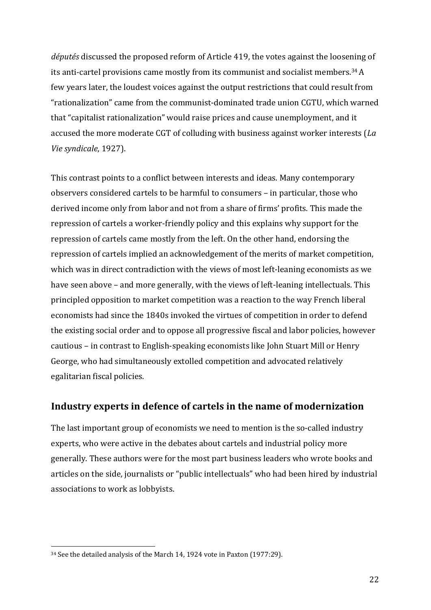*députés* discussed the proposed reform of Article 419, the votes against the loosening of its anti-cartel provisions came mostly from its communist and socialist members.<sup>34</sup> A few years later, the loudest voices against the output restrictions that could result from "rationalization" came from the communist-dominated trade union CGTU, which warned that "capitalist rationalization" would raise prices and cause unemployment, and it accused the more moderate CGT of colluding with business against worker interests (*La Vie syndicale*, 1927).

This contrast points to a conflict between interests and ideas. Many contemporary observers considered cartels to be harmful to consumers - in particular, those who derived income only from labor and not from a share of firms' profits. This made the repression of cartels a worker-friendly policy and this explains why support for the repression of cartels came mostly from the left. On the other hand, endorsing the repression of cartels implied an acknowledgement of the merits of market competition, which was in direct contradiction with the views of most left-leaning economists as we have seen above – and more generally, with the views of left-leaning intellectuals. This principled opposition to market competition was a reaction to the way French liberal economists had since the 1840s invoked the virtues of competition in order to defend the existing social order and to oppose all progressive fiscal and labor policies, however cautious – in contrast to English-speaking economists like John Stuart Mill or Henry George, who had simultaneously extolled competition and advocated relatively egalitarian fiscal policies.

## **Industry experts in defence of cartels in the name of modernization**

The last important group of economists we need to mention is the so-called industry experts, who were active in the debates about cartels and industrial policy more generally. These authors were for the most part business leaders who wrote books and articles on the side, journalists or "public intellectuals" who had been hired by industrial associations to work as lobbyists.

<sup>&</sup>lt;sup>34</sup> See the detailed analysis of the March 14, 1924 vote in Paxton (1977:29).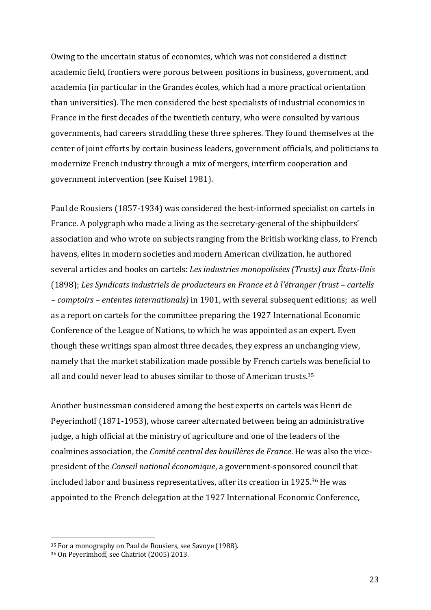Owing to the uncertain status of economics, which was not considered a distinct academic field, frontiers were porous between positions in business, government, and academia (in particular in the Grandes écoles, which had a more practical orientation than universities). The men considered the best specialists of industrial economics in France in the first decades of the twentieth century, who were consulted by various governments, had careers straddling these three spheres. They found themselves at the center of joint efforts by certain business leaders, government officials, and politicians to modernize French industry through a mix of mergers, interfirm cooperation and government intervention (see Kuisel 1981).

Paul de Rousiers (1857-1934) was considered the best-informed specialist on cartels in France. A polygraph who made a living as the secretary-general of the shipbuilders' association and who wrote on subjects ranging from the British working class, to French havens, elites in modern societies and modern American civilization, he authored several articles and books on cartels: *Les industries monopolisées (Trusts)* aux États-Unis (1898); Les Syndicats industriels de producteurs en France et à l'étranger (trust – cartells *– comptoirs – ententes internationals)* in 1901, with several subsequent editions; as well as a report on cartels for the committee preparing the 1927 International Economic Conference of the League of Nations, to which he was appointed as an expert. Even though these writings span almost three decades, they express an unchanging view, namely that the market stabilization made possible by French cartels was beneficial to all and could never lead to abuses similar to those of American trusts.<sup>35</sup>

Another businessman considered among the best experts on cartels was Henri de Peyerimhoff (1871-1953), whose career alternated between being an administrative judge, a high official at the ministry of agriculture and one of the leaders of the coalmines association, the *Comité central des houillères de France*. He was also the vicepresident of the *Conseil national économique*, a government-sponsored council that included labor and business representatives, after its creation in 1925.<sup>36</sup> He was appointed to the French delegation at the 1927 International Economic Conference,

<sup>&</sup>lt;sup>35</sup> For a monography on Paul de Rousiers, see Savoye (1988).

<sup>&</sup>lt;sup>36</sup> On Peyerimhoff, see Chatriot (2005) 2013.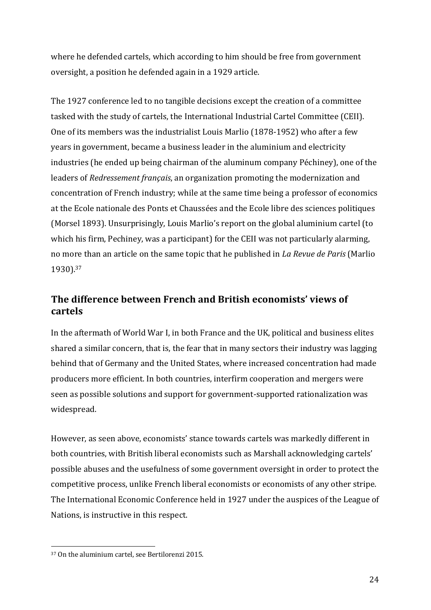where he defended cartels, which according to him should be free from government oversight, a position he defended again in a 1929 article.

The 1927 conference led to no tangible decisions except the creation of a committee tasked with the study of cartels, the International Industrial Cartel Committee (CEII). One of its members was the industrialist Louis Marlio (1878-1952) who after a few years in government, became a business leader in the aluminium and electricity industries (he ended up being chairman of the aluminum company Péchiney), one of the leaders of *Redressement français*, an organization promoting the modernization and concentration of French industry; while at the same time being a professor of economics at the Ecole nationale des Ponts et Chaussées and the Ecole libre des sciences politiques (Morsel 1893). Unsurprisingly, Louis Marlio's report on the global aluminium cartel (to which his firm, Pechiney, was a participant) for the CEII was not particularly alarming, no more than an article on the same topic that he published in *La Revue de Paris* (Marlio 1930). 37

# The difference between French and British economists' views of **cartels**

In the aftermath of World War I, in both France and the UK, political and business elites shared a similar concern, that is, the fear that in many sectors their industry was lagging behind that of Germany and the United States, where increased concentration had made producers more efficient. In both countries, interfirm cooperation and mergers were seen as possible solutions and support for government-supported rationalization was widespread. 

However, as seen above, economists' stance towards cartels was markedly different in both countries, with British liberal economists such as Marshall acknowledging cartels' possible abuses and the usefulness of some government oversight in order to protect the competitive process, unlike French liberal economists or economists of any other stripe. The International Economic Conference held in 1927 under the auspices of the League of Nations, is instructive in this respect.

<sup>&</sup>lt;sup>37</sup> On the aluminium cartel, see Bertilorenzi 2015.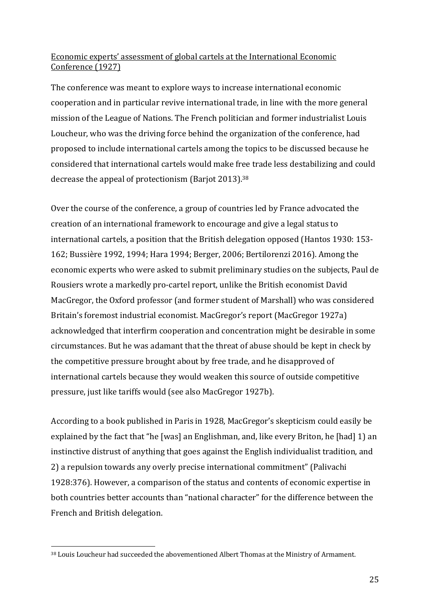## Economic experts' assessment of global cartels at the International Economic Conference (1927)

The conference was meant to explore ways to increase international economic cooperation and in particular revive international trade, in line with the more general mission of the League of Nations. The French politician and former industrialist Louis Loucheur, who was the driving force behind the organization of the conference, had proposed to include international cartels among the topics to be discussed because he considered that international cartels would make free trade less destabilizing and could decrease the appeal of protectionism (Barjot 2013).<sup>38</sup>

Over the course of the conference, a group of countries led by France advocated the creation of an international framework to encourage and give a legal status to international cartels, a position that the British delegation opposed (Hantos 1930: 153-162; Bussière 1992, 1994; Hara 1994; Berger, 2006; Bertilorenzi 2016). Among the economic experts who were asked to submit preliminary studies on the subjects, Paul de Rousiers wrote a markedly pro-cartel report, unlike the British economist David MacGregor, the Oxford professor (and former student of Marshall) who was considered Britain's foremost industrial economist. MacGregor's report (MacGregor 1927a) acknowledged that interfirm cooperation and concentration might be desirable in some circumstances. But he was adamant that the threat of abuse should be kept in check by the competitive pressure brought about by free trade, and he disapproved of international cartels because they would weaken this source of outside competitive pressure, just like tariffs would (see also MacGregor 1927b).

According to a book published in Paris in 1928, MacGregor's skepticism could easily be explained by the fact that "he [was] an Englishman, and, like every Briton, he [had] 1) an instinctive distrust of anything that goes against the English individualist tradition, and 2) a repulsion towards any overly precise international commitment" (Palivachi 1928:376). However, a comparison of the status and contents of economic expertise in both countries better accounts than "national character" for the difference between the French and British delegation.

<sup>38</sup> Louis Loucheur had succeeded the abovementioned Albert Thomas at the Ministry of Armament.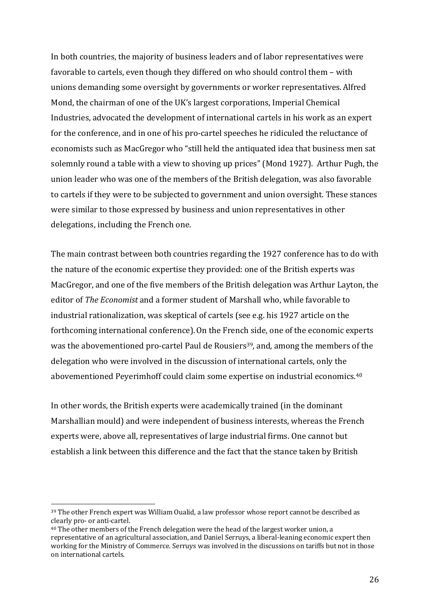In both countries, the majority of business leaders and of labor representatives were favorable to cartels, even though they differed on who should control them - with unions demanding some oversight by governments or worker representatives. Alfred Mond, the chairman of one of the UK's largest corporations, Imperial Chemical Industries, advocated the development of international cartels in his work as an expert for the conference, and in one of his pro-cartel speeches he ridiculed the reluctance of economists such as MacGregor who "still held the antiquated idea that business men sat solemnly round a table with a view to shoving up prices" (Mond 1927). Arthur Pugh, the union leader who was one of the members of the British delegation, was also favorable to cartels if they were to be subjected to government and union oversight. These stances were similar to those expressed by business and union representatives in other delegations, including the French one.

The main contrast between both countries regarding the 1927 conference has to do with the nature of the economic expertise they provided: one of the British experts was MacGregor, and one of the five members of the British delegation was Arthur Layton, the editor of *The Economist* and a former student of Marshall who, while favorable to industrial rationalization, was skeptical of cartels (see e.g. his 1927 article on the forthcoming international conference). On the French side, one of the economic experts was the abovementioned pro-cartel Paul de Rousiers<sup>39</sup>, and, among the members of the delegation who were involved in the discussion of international cartels, only the abovementioned Peyerimhoff could claim some expertise on industrial economics.<sup>40</sup>

In other words, the British experts were academically trained (in the dominant Marshallian mould) and were independent of business interests, whereas the French experts were, above all, representatives of large industrial firms. One cannot but establish a link between this difference and the fact that the stance taken by British

 $39$  The other French expert was William Oualid, a law professor whose report cannot be described as clearly pro- or anti-cartel.

 $40$  The other members of the French delegation were the head of the largest worker union, a representative of an agricultural association, and Daniel Serruys, a liberal-leaning economic expert then working for the Ministry of Commerce. Serruys was involved in the discussions on tariffs but not in those on international cartels.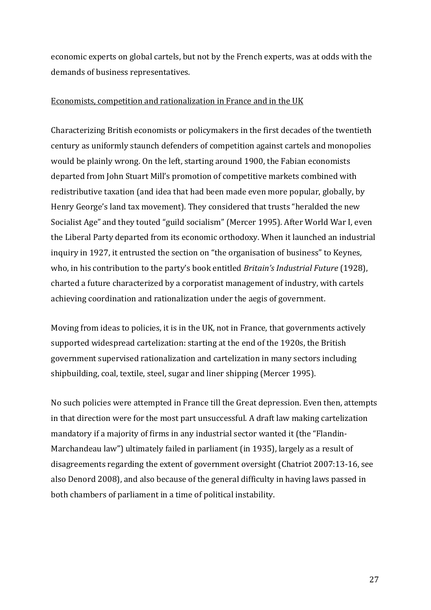economic experts on global cartels, but not by the French experts, was at odds with the demands of business representatives.

### Economists, competition and rationalization in France and in the UK

Characterizing British economists or policymakers in the first decades of the twentieth century as uniformly staunch defenders of competition against cartels and monopolies would be plainly wrong. On the left, starting around 1900, the Fabian economists departed from John Stuart Mill's promotion of competitive markets combined with redistributive taxation (and idea that had been made even more popular, globally, by Henry George's land tax movement). They considered that trusts "heralded the new Socialist Age" and they touted "guild socialism" (Mercer 1995). After World War I, even the Liberal Party departed from its economic orthodoxy. When it launched an industrial inquiry in 1927, it entrusted the section on "the organisation of business" to Keynes, who, in his contribution to the party's book entitled *Britain's Industrial Future* (1928), charted a future characterized by a corporatist management of industry, with cartels achieving coordination and rationalization under the aegis of government.

Moving from ideas to policies, it is in the UK, not in France, that governments actively supported widespread cartelization: starting at the end of the 1920s, the British government supervised rationalization and cartelization in many sectors including shipbuilding, coal, textile, steel, sugar and liner shipping (Mercer 1995).

No such policies were attempted in France till the Great depression. Even then, attempts in that direction were for the most part unsuccessful. A draft law making cartelization mandatory if a majority of firms in any industrial sector wanted it (the "Flandin-Marchandeau law") ultimately failed in parliament (in 1935), largely as a result of disagreements regarding the extent of government oversight (Chatriot 2007:13-16, see also Denord 2008), and also because of the general difficulty in having laws passed in both chambers of parliament in a time of political instability.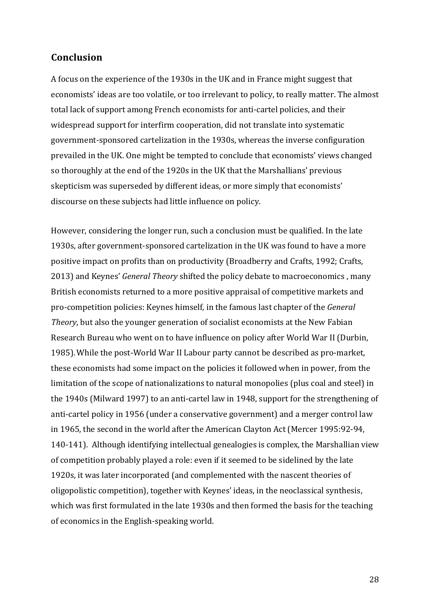# **Conclusion**

A focus on the experience of the 1930s in the UK and in France might suggest that economists' ideas are too volatile, or too irrelevant to policy, to really matter. The almost total lack of support among French economists for anti-cartel policies, and their widespread support for interfirm cooperation, did not translate into systematic government-sponsored cartelization in the 1930s, whereas the inverse configuration prevailed in the UK. One might be tempted to conclude that economists' views changed so thoroughly at the end of the 1920s in the UK that the Marshallians' previous skepticism was superseded by different ideas, or more simply that economists' discourse on these subjects had little influence on policy.

However, considering the longer run, such a conclusion must be qualified. In the late 1930s, after government-sponsored cartelization in the UK was found to have a more positive impact on profits than on productivity (Broadberry and Crafts, 1992; Crafts, 2013) and Keynes' *General Theory* shifted the policy debate to macroeconomics, many British economists returned to a more positive appraisal of competitive markets and pro-competition policies: Keynes himself, in the famous last chapter of the *General Theory*, but also the younger generation of socialist economists at the New Fabian Research Bureau who went on to have influence on policy after World War II (Durbin, 1985). While the post-World War II Labour party cannot be described as pro-market, these economists had some impact on the policies it followed when in power, from the limitation of the scope of nationalizations to natural monopolies (plus coal and steel) in the 1940s (Milward 1997) to an anti-cartel law in 1948, support for the strengthening of anti-cartel policy in 1956 (under a conservative government) and a merger control law in 1965, the second in the world after the American Clayton Act (Mercer 1995:92-94, 140-141). Although identifying intellectual genealogies is complex, the Marshallian view of competition probably played a role: even if it seemed to be sidelined by the late 1920s, it was later incorporated (and complemented with the nascent theories of oligopolistic competition), together with Keynes' ideas, in the neoclassical synthesis, which was first formulated in the late 1930s and then formed the basis for the teaching of economics in the English-speaking world.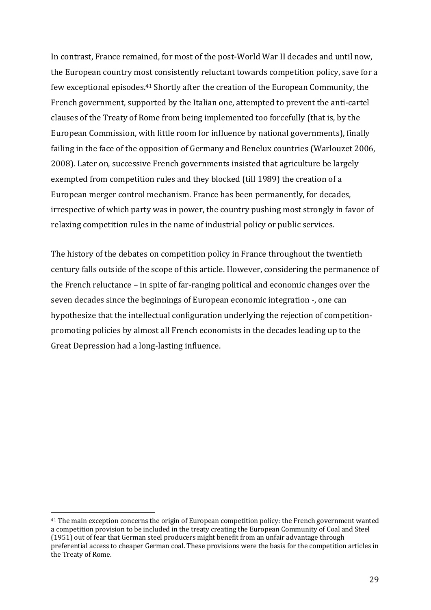In contrast, France remained, for most of the post-World War II decades and until now, the European country most consistently reluctant towards competition policy, save for a few exceptional episodes.<sup>41</sup> Shortly after the creation of the European Community, the French government, supported by the Italian one, attempted to prevent the anti-cartel clauses of the Treaty of Rome from being implemented too forcefully (that is, by the European Commission, with little room for influence by national governments), finally failing in the face of the opposition of Germany and Benelux countries (Warlouzet 2006, 2008). Later on, successive French governments insisted that agriculture be largely exempted from competition rules and they blocked (till 1989) the creation of a European merger control mechanism. France has been permanently, for decades, irrespective of which party was in power, the country pushing most strongly in favor of relaxing competition rules in the name of industrial policy or public services.

The history of the debates on competition policy in France throughout the twentieth century falls outside of the scope of this article. However, considering the permanence of the French reluctance  $-$  in spite of far-ranging political and economic changes over the seven decades since the beginnings of European economic integration -, one can hypothesize that the intellectual configuration underlying the rejection of competitionpromoting policies by almost all French economists in the decades leading up to the Great Depression had a long-lasting influence.

<sup>&</sup>lt;sup>41</sup> The main exception concerns the origin of European competition policy: the French government wanted a competition provision to be included in the treaty creating the European Community of Coal and Steel  $(1951)$  out of fear that German steel producers might benefit from an unfair advantage through preferential access to cheaper German coal. These provisions were the basis for the competition articles in the Treaty of Rome.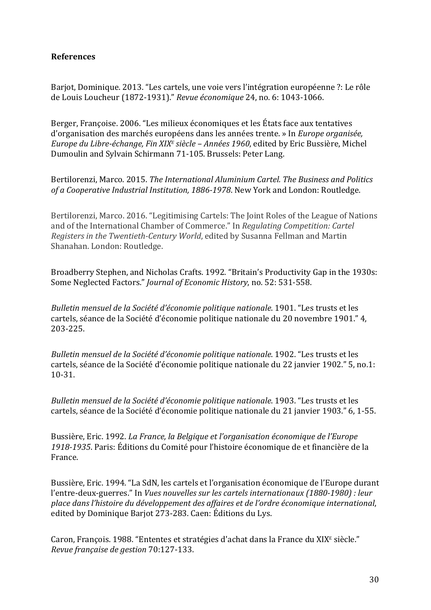## **References**

Barjot, Dominique. 2013. "Les cartels, une voie vers l'intégration européenne ?: Le rôle de Louis Loucheur (1872-1931)." Revue économique 24, no. 6: 1043-1066.

Berger, Françoise. 2006. "Les milieux économiques et les États face aux tentatives d'organisation des marchés européens dans les années trente. » In *Europe organisée*, *Europe du Libre-échange, Fin XIX<sup>E</sup> siècle – Années 1960, edited by Eric Bussière, Michel* Dumoulin and Sylvain Schirmann 71-105. Brussels: Peter Lang.

Bertilorenzi, Marco. 2015. *The International Aluminium Cartel. The Business and Politics* of a Cooperative Industrial Institution, 1886-1978. New York and London: Routledge.

Bertilorenzi, Marco. 2016. "Legitimising Cartels: The Joint Roles of the League of Nations and of the International Chamber of Commerce." In *Regulating Competition: Cartel Registers in the Twentieth-Century World*, edited by Susanna Fellman and Martin Shanahan. London: Routledge.

Broadberry Stephen, and Nicholas Crafts. 1992. "Britain's Productivity Gap in the 1930s: Some Neglected Factors." *Journal of Economic History*, no. 52: 531-558.

*Bulletin mensuel de la Société d'économie politique nationale*. 1901. "Les trusts et les cartels, séance de la Société d'économie politique nationale du 20 novembre 1901." 4, 203-225.

*Bulletin mensuel de la Société d'économie politique nationale*. 1902. "Les trusts et les cartels, séance de la Société d'économie politique nationale du 22 janvier 1902." 5, no.1: 10-31.

*Bulletin mensuel de la Société d'économie politique nationale*. 1903. "Les trusts et les cartels, séance de la Société d'économie politique nationale du 21 janvier 1903." 6, 1-55.

Bussière, Eric. 1992. *La France, la Belgique et l'organisation économique de l'Europe* 1918-1935. Paris: Éditions du Comité pour l'histoire économique de et financière de la France.

Bussière, Eric. 1994. "La SdN, les cartels et l'organisation économique de l'Europe durant l'entre-deux-guerres." In *Vues nouvelles sur les cartels internationaux (1880-1980) : leur place dans l'histoire du développement des affaires et de l'ordre économique international*, edited by Dominique Barjot 273-283. Caen: Éditions du Lys.

Caron, François. 1988. "Ententes et stratégies d'achat dans la France du XIX<sup>E</sup> siècle." *Revue française de gestion* 70:127-133.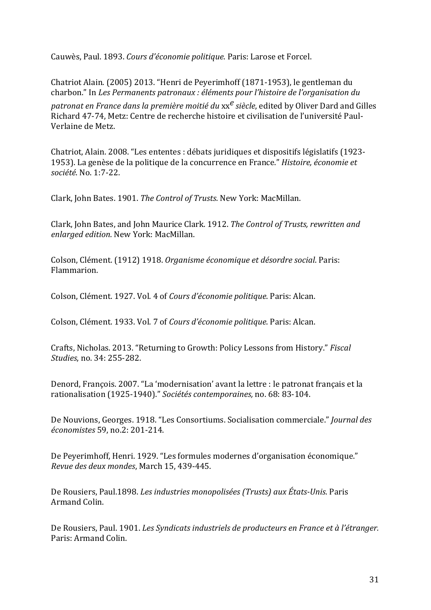Cauwès, Paul. 1893. Cours d'économie politique. Paris: Larose et Forcel.

Chatriot Alain. (2005) 2013. "Henri de Peyerimhoff (1871-1953), le gentleman du charbon." In *Les Permanents patronaux : éléments pour l'histoire de l'organisation du patronat en France dans la première moitié du xx<sup>e</sup> siècle, edited by Oliver Dard and Gilles* Richard 47-74, Metz: Centre de recherche histoire et civilisation de l'université Paul-Verlaine de Metz. 

Chatriot, Alain. 2008. "Les ententes : débats juridiques et dispositifs législatifs (1923-1953). La genèse de la politique de la concurrence en France." *Histoire, économie et société*. No. 1:7-22.

Clark, John Bates. 1901. The Control of Trusts. New York: MacMillan.

Clark, John Bates, and John Maurice Clark. 1912. *The Control of Trusts, rewritten and enlarged edition*. New York: MacMillan.

Colson, Clément. (1912) 1918. *Organisme économique et désordre social*. Paris: Flammarion.

Colson, Clément. 1927. Vol. 4 of *Cours d'économie politique*. Paris: Alcan.

Colson, Clément. 1933. Vol. 7 of *Cours d'économie politique*. Paris: Alcan.

Crafts, Nicholas. 2013. "Returning to Growth: Policy Lessons from History." Fiscal *Studies*, no. 34: 255-282.

Denord, François. 2007. "La 'modernisation' avant la lettre : le patronat français et la rationalisation (1925-1940)." Sociétés contemporaines, no. 68: 83-104.

De Nouvions, Georges. 1918. "Les Consortiums. Socialisation commerciale." *Journal des économistes* 59, no.2: 201-214. 

De Peyerimhoff, Henri. 1929. "Les formules modernes d'organisation économique." *Revue des deux mondes*, March 15, 439-445. 

De Rousiers, Paul.1898. *Les industries monopolisées (Trusts) aux États-Unis*. Paris Armand Colin.

De Rousiers, Paul. 1901. *Les Syndicats industriels de producteurs en France et à l'étranger.* Paris: Armand Colin.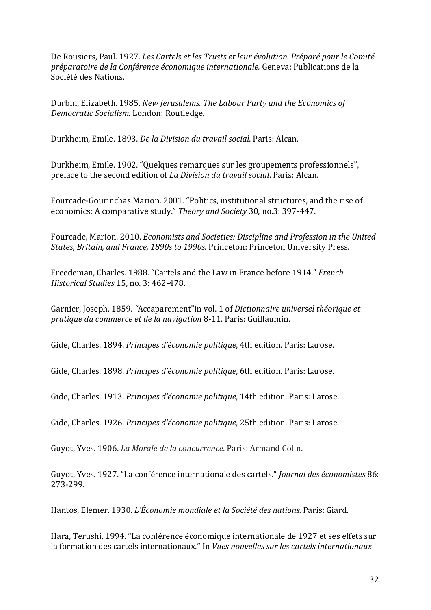De Rousiers, Paul. 1927. *Les Cartels et les Trusts et leur évolution. Préparé pour le Comité préparatoire de la Conférence économique internationale.* Geneva: Publications de la Société des Nations.

Durbin, Elizabeth. 1985. *New Jerusalems. The Labour Party and the Economics of Democratic Socialism.* London: Routledge.

Durkheim, Emile. 1893. *De la Division du travail social*. Paris: Alcan.

Durkheim, Emile. 1902. "Quelques remarques sur les groupements professionnels", preface to the second edition of *La Division du travail social*. Paris: Alcan.

Fourcade-Gourinchas Marion. 2001. "Politics, institutional structures, and the rise of economics: A comparative study." Theory and Society 30, no.3: 397-447.

Fourcade, Marion. 2010. *Economists and Societies: Discipline and Profession in the United States, Britain, and France, 1890s to 1990s. Princeton: Princeton University Press.* 

Freedeman, Charles. 1988. "Cartels and the Law in France before 1914." *French Historical Studies* 15, no. 3: 462-478.

Garnier, Joseph. 1859. "Accaparement" in vol. 1 of *Dictionnaire universel théorique et pratique du commerce et de la navigation* 8-11. Paris: Guillaumin.

Gide, Charles. 1894. *Principes d'économie politique*. 4th edition. Paris: Larose.

Gide, Charles. 1898. *Principes d'économie politique*, 6th edition. Paris: Larose.

Gide, Charles. 1913. *Principes d'économie politique*, 14th edition. Paris: Larose.

Gide, Charles. 1926. *Principes d'économie politique*, 25th edition. Paris: Larose.

Guyot, Yves. 1906. *La Morale de la concurrence*. Paris: Armand Colin.

Guyot, Yves. 1927. "La conférence internationale des cartels." *Journal des économistes* 86: 273-299.

Hantos, Elemer. 1930. *L'Économie mondiale et la Société des nations.* Paris: Giard.

Hara, Terushi. 1994. "La conférence économique internationale de 1927 et ses effets sur la formation des cartels internationaux." In *Vues nouvelles sur les cartels internationaux*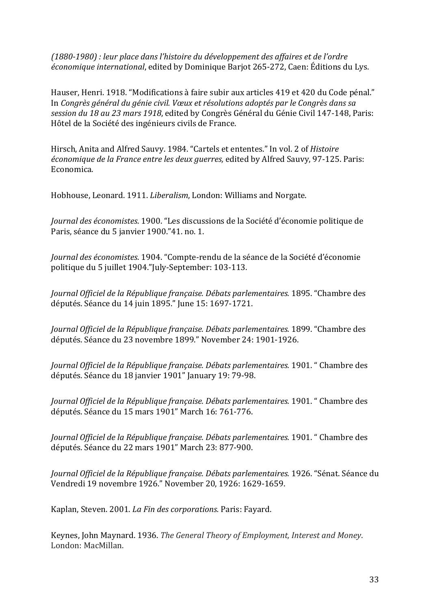*(1880-1980) : leur place dans l'histoire du développement des affaires et de l'ordre économique international*, edited by Dominique Barjot 265-272, Caen: Éditions du Lys.

Hauser, Henri. 1918. "Modifications à faire subir aux articles 419 et 420 du Code pénal." In *Congrès général du génie civil. Vœux et résolutions adoptés par le Congrès dans sa* session du 18 au 23 mars 1918, edited by Congrès Général du Génie Civil 147-148, Paris: Hôtel de la Société des ingénieurs civils de France.

Hirsch, Anita and Alfred Sauvy. 1984. "Cartels et ententes." In vol. 2 of *Histoire économique de la France entre les deux guerres,* edited by Alfred Sauvy, 97-125. Paris: Economica. 

Hobhouse, Leonard. 1911. *Liberalism*, London: Williams and Norgate.

*Journal des économistes*. 1900. "Les discussions de la Société d'économie politique de Paris, séance du 5 janvier 1900."41, no. 1.

*Journal des économistes*. 1904. "Compte-rendu de la séance de la Société d'économie politique du 5 juillet 1904."July-September: 103-113.

*Journal Officiel de la République française. Débats parlementaires.* 1895. "Chambre des députés. Séance du 14 juin 1895." June 15: 1697-1721.

Journal Officiel de la République française. Débats parlementaires. 1899. "Chambre des députés. Séance du 23 novembre 1899." November 24: 1901-1926.

*Journal Officiel de la République française. Débats parlementaires.* 1901. " Chambre des députés. Séance du 18 janvier 1901" January 19: 79-98.

*Journal Officiel de la République française. Débats parlementaires.* 1901. " Chambre des députés. Séance du 15 mars 1901" March 16: 761-776.

*Journal Officiel de la République française. Débats parlementaires.* 1901. " Chambre des députés. Séance du 22 mars 1901" March 23: 877-900.

*Journal Officiel de la République française. Débats parlementaires.* 1926. "Sénat. Séance du Vendredi 19 novembre 1926." November 20, 1926: 1629-1659.

Kaplan, Steven. 2001. *La Fin des corporations.* Paris: Fayard.

Keynes, John Maynard. 1936. *The General Theory of Employment, Interest and Money.* London: MacMillan.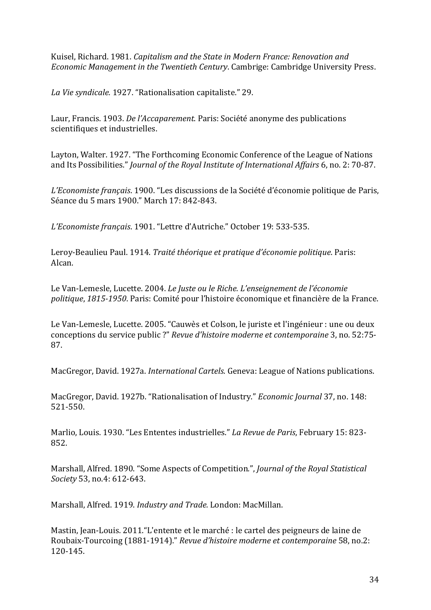Kuisel, Richard. 1981. *Capitalism and the State in Modern France: Renovation and Economic Management in the Twentieth Century*. Cambrige: Cambridge University Press.

La Vie syndicale. 1927. "Rationalisation capitaliste." 29.

Laur, Francis. 1903. *De l'Accaparement*. Paris: Société anonyme des publications scientifiques et industrielles.

Layton, Walter. 1927. "The Forthcoming Economic Conference of the League of Nations and Its Possibilities." *Journal of the Royal Institute of International Affairs* 6, no. 2: 70-87.

L'Economiste français. 1900. "Les discussions de la Société d'économie politique de Paris, Séance du 5 mars 1900." March 17: 842-843.

L'Economiste français. 1901. "Lettre d'Autriche." October 19: 533-535.

Leroy-Beaulieu Paul. 1914. *Traité théorique et pratique d'économie politique*. Paris: Alcan.

Le Van-Lemesle, Lucette. 2004. *Le Juste ou le Riche. L'enseignement de l'économie politique*, 1815-1950. Paris: Comité pour l'histoire économique et financière de la France.

Le Van-Lemesle, Lucette. 2005. "Cauwès et Colson, le juriste et l'ingénieur : une ou deux conceptions du service public ?" Revue d'histoire moderne et contemporaine 3, no. 52:75-87. 

MacGregor, David. 1927a. *International Cartels*. Geneva: League of Nations publications.

MacGregor, David. 1927b. "Rationalisation of Industry." *Economic Journal* 37, no. 148: 521-550. 

Marlio, Louis. 1930. "Les Ententes industrielles." *La Revue de Paris*, February 15: 823-852.

Marshall, Alfred. 1890. "Some Aspects of Competition.", *Journal of the Royal Statistical Society* 53, no.4: 612-643.

Marshall, Alfred. 1919. *Industry and Trade.* London: MacMillan.

Mastin, Jean-Louis. 2011. "L'entente et le marché : le cartel des peigneurs de laine de Roubaix-Tourcoing (1881-1914)." Revue d'histoire moderne et contemporaine 58, no.2: 120-145.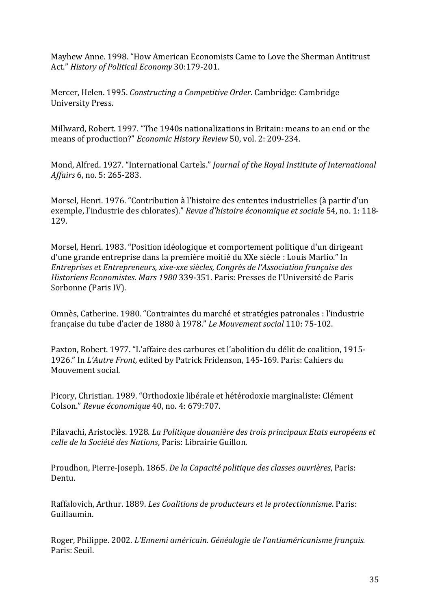Mayhew Anne. 1998. "How American Economists Came to Love the Sherman Antitrust Act." History of Political Economy 30:179-201.

Mercer, Helen. 1995. *Constructing a Competitive Order*. Cambridge: Cambridge University Press. 

Millward, Robert. 1997. "The 1940s nationalizations in Britain: means to an end or the means of production?" *Economic History Review* 50, vol. 2: 209-234.

Mond, Alfred. 1927. "International Cartels." *Journal of the Royal Institute of International Affairs* 6, no. 5: 265-283.

Morsel, Henri. 1976. "Contribution à l'histoire des ententes industrielles (à partir d'un exemple, l'industrie des chlorates)." *Revue d'histoire économique et sociale* 54, no. 1: 118-129.

Morsel, Henri. 1983. "Position idéologique et comportement politique d'un dirigeant d'une grande entreprise dans la première moitié du XXe siècle : Louis Marlio." In *Entreprises et Entrepreneurs, xixe-xxe siècles, Congrès de l'Association française des Historiens Economistes. Mars 1980* 339-351. Paris: Presses de l'Université de Paris Sorbonne (Paris IV).

Omnès, Catherine. 1980. "Contraintes du marché et stratégies patronales : l'industrie française du tube d'acier de 1880 à 1978." Le Mouvement social 110: 75-102.

Paxton, Robert. 1977. "L'affaire des carbures et l'abolition du délit de coalition, 1915-1926." In *L'Autre Front,* edited by Patrick Fridenson, 145-169. Paris: Cahiers du Mouvement social.

Picory, Christian. 1989. "Orthodoxie libérale et hétérodoxie marginaliste: Clément Colson." *Revue économique* 40, no. 4: 679:707.

Pilavachi, Aristoclès. 1928. *La Politique douanière des trois principaux Etats européens et celle de la Société des Nations*, Paris: Librairie Guillon.

Proudhon, Pierre-Joseph. 1865. *De la Capacité politique des classes ouvrières*, Paris: Dentu.

Raffalovich, Arthur. 1889. *Les Coalitions de producteurs et le protectionnisme*. Paris: Guillaumin.

Roger, Philippe. 2002. *L'Ennemi américain. Généalogie de l'antiaméricanisme français.* Paris: Seuil.